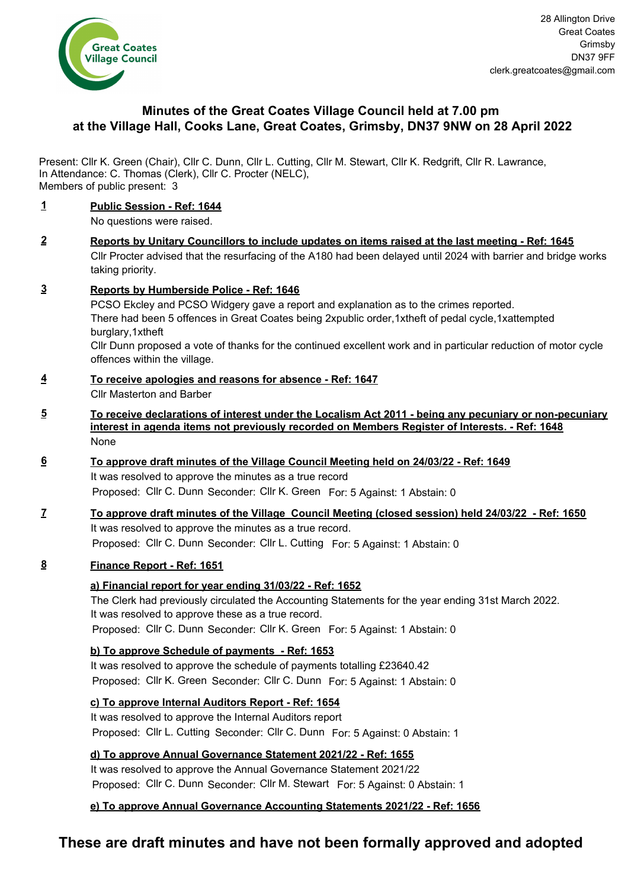

# **Minutes of the Great Coates Village Council held at 7.00 pm at the Village Hall, Cooks Lane, Great Coates, Grimsby, DN37 9NW on 28 April 2022**

Present: Cllr K. Green (Chair), Cllr C. Dunn, Cllr L. Cutting, Cllr M. Stewart, Cllr K. Redgrift, Cllr R. Lawrance, Members of public present: 3 In Attendance: C. Thomas (Clerk), Cllr C. Procter (NELC),

### **1 Public Session - Ref: 1644**

No questions were raised.

- **2 Reports by Unitary Councillors to include updates on items raised at the last meeting Ref: 1645** Cllr Procter advised that the resurfacing of the A180 had been delayed until 2024 with barrier and bridge works taking priority.
- **3 Reports by Humberside Police Ref: 1646** PCSO Ekcley and PCSO Widgery gave a report and explanation as to the crimes reported. There had been 5 offences in Great Coates being 2xpublic order,1xtheft of pedal cycle,1xattempted burglary,1xtheft

Cllr Dunn proposed a vote of thanks for the continued excellent work and in particular reduction of motor cycle offences within the village.

- **4 To receive apologies and reasons for absence Ref: 1647** Cllr Masterton and Barber
- **5 To receive declarations of interest under the Localism Act 2011 being any pecuniary or non-pecuniary interest in agenda items not previously recorded on Members Register of Interests. - Ref: 1648** None
- **6 To approve draft minutes of the Village Council Meeting held on 24/03/22 Ref: 1649** It was resolved to approve the minutes as a true record Proposed: Cllr C. Dunn Seconder: Cllr K. Green For: 5 Against: 1 Abstain: 0
- **7 To approve draft minutes of the Village Council Meeting (closed session) held 24/03/22 Ref: 1650** It was resolved to approve the minutes as a true record. Proposed: Cllr C. Dunn Seconder: Cllr L. Cutting For: 5 Against: 1 Abstain: 0

### **8 Finance Report - Ref: 1651**

### **a) Financial report for year ending 31/03/22 - Ref: 1652**

The Clerk had previously circulated the Accounting Statements for the year ending 31st March 2022. It was resolved to approve these as a true record. Proposed: Cllr C. Dunn Seconder: Cllr K. Green For: 5 Against: 1 Abstain: 0

**b) To approve Schedule of payments - Ref: 1653**

It was resolved to approve the schedule of payments totalling £23640.42 Proposed: Cllr K. Green Seconder: Cllr C. Dunn For: 5 Against: 1 Abstain: 0

**c) To approve Internal Auditors Report - Ref: 1654**

It was resolved to approve the Internal Auditors report Proposed: Cllr L. Cutting Seconder: Cllr C. Dunn For: 5 Against: 0 Abstain: 1

**d) To approve Annual Governance Statement 2021/22 - Ref: 1655**

It was resolved to approve the Annual Governance Statement 2021/22 Proposed: Cllr C. Dunn Seconder: Cllr M. Stewart For: 5 Against: 0 Abstain: 1

## **e) To approve Annual Governance Accounting Statements 2021/22 - Ref: 1656**

# **These are draft minutes and have not been formally approved and adopted**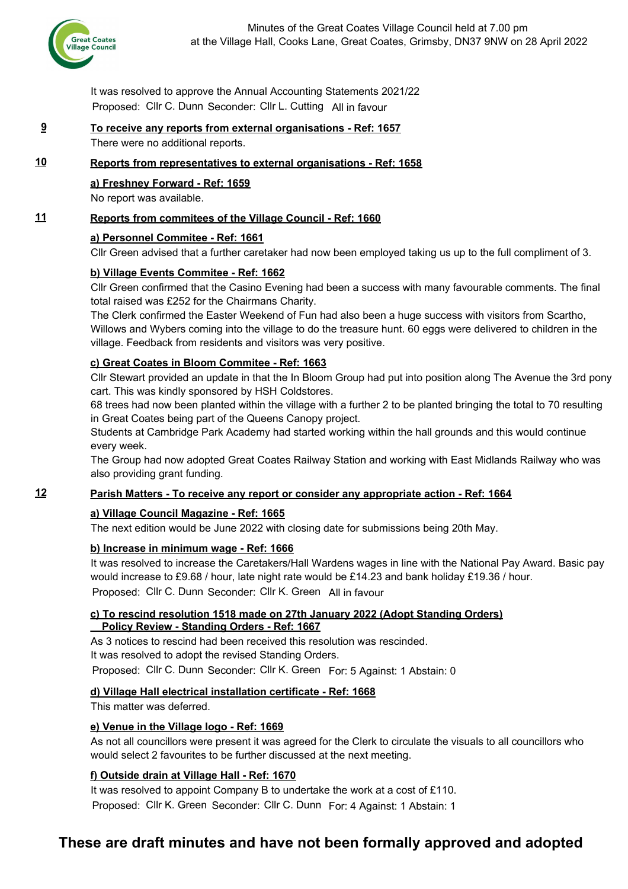

It was resolved to approve the Annual Accounting Statements 2021/22 Proposed: Cllr C. Dunn Seconder: Cllr L. Cutting All in favour

# **9 To receive any reports from external organisations - Ref: 1657**

There were no additional reports.

### **10 Reports from representatives to external organisations - Ref: 1658**

## **a) Freshney Forward - Ref: 1659**

No report was available.

## **11 Reports from commitees of the Village Council - Ref: 1660**

### **a) Personnel Commitee - Ref: 1661**

Cllr Green advised that a further caretaker had now been employed taking us up to the full compliment of 3.

## **b) Village Events Commitee - Ref: 1662**

Cllr Green confirmed that the Casino Evening had been a success with many favourable comments. The final total raised was £252 for the Chairmans Charity.

The Clerk confirmed the Easter Weekend of Fun had also been a huge success with visitors from Scartho, Willows and Wybers coming into the village to do the treasure hunt. 60 eggs were delivered to children in the village. Feedback from residents and visitors was very positive.

### **c) Great Coates in Bloom Commitee - Ref: 1663**

Cllr Stewart provided an update in that the In Bloom Group had put into position along The Avenue the 3rd pony cart. This was kindly sponsored by HSH Coldstores.

68 trees had now been planted within the village with a further 2 to be planted bringing the total to 70 resulting in Great Coates being part of the Queens Canopy project.

Students at Cambridge Park Academy had started working within the hall grounds and this would continue every week.

The Group had now adopted Great Coates Railway Station and working with East Midlands Railway who was also providing grant funding.

### **12 Parish Matters - To receive any report or consider any appropriate action - Ref: 1664**

#### **a) Village Council Magazine - Ref: 1665**

The next edition would be June 2022 with closing date for submissions being 20th May.

#### **b) Increase in minimum wage - Ref: 1666**

It was resolved to increase the Caretakers/Hall Wardens wages in line with the National Pay Award. Basic pay would increase to £9.68 / hour, late night rate would be £14.23 and bank holiday £19.36 / hour. Proposed: Cllr C. Dunn Seconder: Cllr K. Green All in favour

#### **c) To rescind resolution 1518 made on 27th January 2022 (Adopt Standing Orders) Policy Review - Standing Orders - Ref: 1667**

As 3 notices to rescind had been received this resolution was rescinded. It was resolved to adopt the revised Standing Orders.

Proposed: Cllr C. Dunn Seconder: Cllr K. Green For: 5 Against: 1 Abstain: 0

### **d) Village Hall electrical installation certificate - Ref: 1668**

This matter was deferred.

### **e) Venue in the Village logo - Ref: 1669**

As not all councillors were present it was agreed for the Clerk to circulate the visuals to all councillors who would select 2 favourites to be further discussed at the next meeting.

### **f) Outside drain at Village Hall - Ref: 1670**

It was resolved to appoint Company B to undertake the work at a cost of £110.

Proposed: Cllr K. Green Seconder: Cllr C. Dunn For: 4 Against: 1 Abstain: 1

# **These are draft minutes and have not been formally approved and adopted**